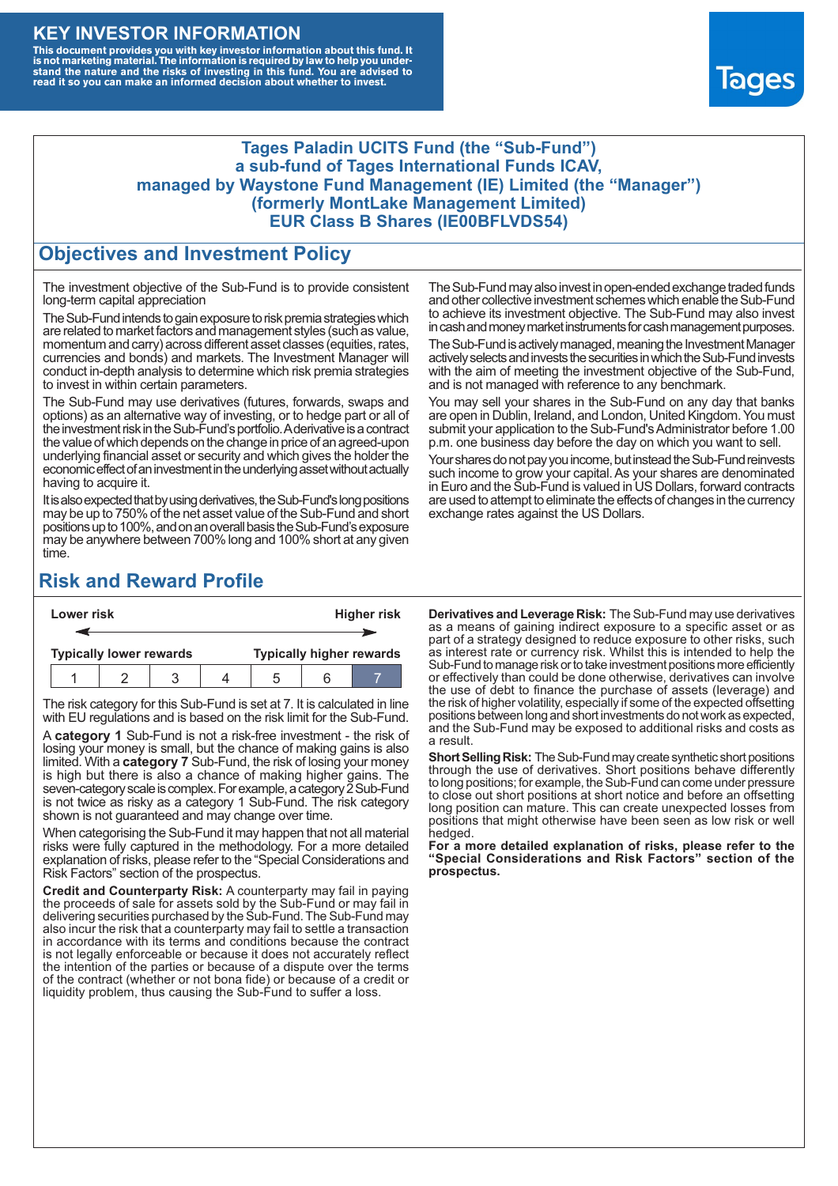### **KEY INVESTOR INFORMATION**

This document provides you with key investor information about this fund. It<br>is not marketing material. The information is required by law to help you under-<br>stand the nature and the risks of investing in this fund. You ar



#### **Tages Paladin UCITS Fund (the "Sub-Fund") a sub-fund of Tages International Funds ICAV, managed by Waystone Fund Management (IE) Limited (the "Manager") (formerly MontLake Management Limited) EUR Class B Shares (IE00BFLVDS54)**

### **Objectives and Investment Policy**

The investment objective of the Sub-Fund is to provide consistent long-term capital appreciation

The Sub-Fund intends to gain exposure to risk premia strategies which are related to market factors and management styles (such as value, momentum and carry) across different asset classes (equities, rates, currencies and bonds) and markets. The Investment Manager will conduct in-depth analysis to determine which risk premia strategies to invest in within certain parameters.

The Sub-Fund may use derivatives (futures, forwards, swaps and options) as an alternative way of investing, or to hedge part or all of the investment risk intheSub-Fund's portfolio.Aderivative is a contract the value of which depends on the change in price of an agreed-upon underlying financial asset or security and which gives the holder the economic effect of an investment in the underlying asset without actually having to acquire it.

It is also expected that by using derivatives, the Sub-Fund's long positions may be up to 750% of the net asset value of the Sub-Fund and short positions up to 100%, and on an overall basis the Sub-Fund's exposure may be anywhere between 700% long and 100% short at any given time.

The Sub-Fund may also invest in open-ended exchange traded funds and other collective investment schemes which enable the Sub-Fund to achieve its investment objective. The Sub-Fund may also invest in cash and money market instruments for cash management purposes.

The Sub-Fund is actively managed, meaning the Investment Manager actively selects and invests the securities in which the Sub-Fund invests with the aim of meeting the investment objective of the Sub-Fund, and is not managed with reference to any benchmark.

You may sell your shares in the Sub-Fund on any day that banks are open in Dublin, Ireland, and London, United Kingdom. You must submit your application to the Sub-Fund's Administrator before 1.00 p.m. one business day before the day on which you want to sell.

Your shares do not pay you income, but instead the Sub-Fund reinvests such income to grow your capital. As your shares are denominated in Euro and the Sub-Fund is valued in US Dollars, forward contracts are used to attempt to eliminate the effects of changes in the currency exchange rates against the US Dollars.

# **Risk and Reward Profile**

| Lower risk |                                |  |  |  | <b>Higher risk</b>              |     |  |  |
|------------|--------------------------------|--|--|--|---------------------------------|-----|--|--|
|            |                                |  |  |  |                                 |     |  |  |
|            | <b>Typically lower rewards</b> |  |  |  | <b>Typically higher rewards</b> |     |  |  |
|            |                                |  |  |  |                                 | ี่ค |  |  |

The risk category for this Sub-Fund is set at 7. It is calculated in line with EU regulations and is based on the risk limit for the Sub-Fund.

A **category 1** Sub-Fund is not a risk-free investment - the risk of losing your money is small, but the chance of making gains is also limited. With a **category 7** Sub-Fund, the risk of losing your money is high but there is also a chance of making higher gains. The seven-category scale is complex. For example, a category 2 Sub-Fund is not twice as risky as a category 1 Sub-Fund. The risk category shown is not guaranteed and may change over time.

When categorising the Sub-Fund it may happen that not all material risks were fully captured in the methodology. For a more detailed explanation of risks, please refer to the "Special Considerations and Risk Factors" section of the prospectus.

**Credit and Counterparty Risk:** A counterparty may fail in paying the proceeds of sale for assets sold by the Sub-Fund or may fail in delivering securities purchased by the Sub-Fund. The Sub-Fund may also incur the risk that a counterparty may fail to settle a transaction in accordance with its terms and conditions because the contract is not legally enforceable or because it does not accurately reflect the intention of the parties or because of a dispute over the terms of the contract (whether or not bona fide) or because of a credit or liquidity problem, thus causing the Sub-Fund to suffer a loss.

**Derivatives and Leverage Risk:** The Sub-Fund may use derivatives as a means of gaining indirect exposure to a specific asset or as part of a strategy designed to reduce exposure to other risks, such as interest rate or currency risk. Whilst this is intended to help the Sub-Fund to manage risk or to take investment positions more efficiently or effectively than could be done otherwise, derivatives can involve the use of debt to finance the purchase of assets (leverage) and the risk of higher volatility, especially if some of the expected offsetting positions between long and short investments do not work as expected, and the Sub-Fund may be exposed to additional risks and costs as a result.

**Short Selling Risk:** The Sub-Fund may create synthetic short positions through the use of derivatives. Short positions behave differently to long positions; for example, the Sub-Fund can come under pressure to close out short positions at short notice and before an offsetting long position can mature. This can create unexpected losses from positions that might otherwise have been seen as low risk or well hedged.

**For a more detailed explanation of risks, please refer to the "Special Considerations and Risk Factors" section of the prospectus.**